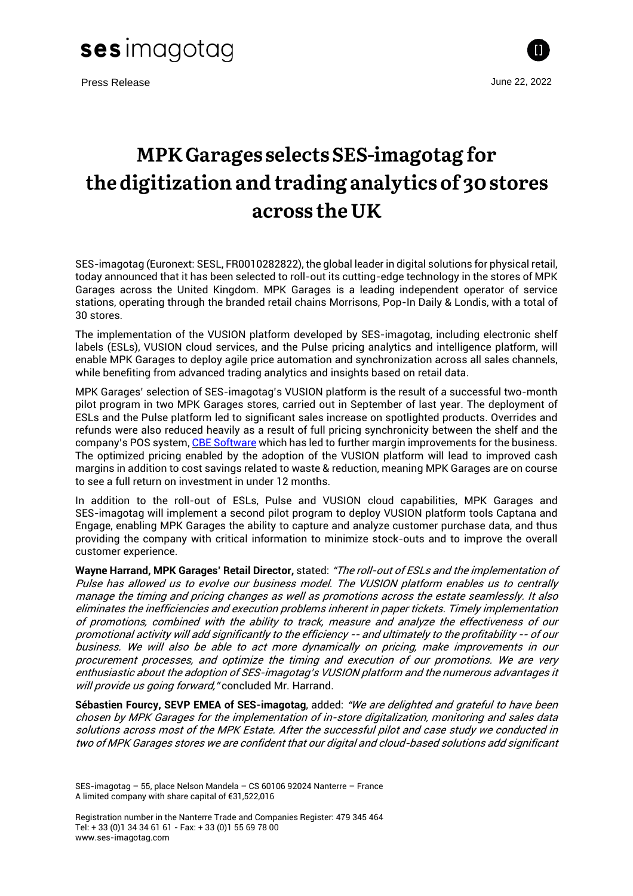

Press Release June 22, 2022



## MPK Garages selects SES-imagotag for the digitization and trading analytics of 30 stores across the UK

SES-imagotag (Euronext: SESL, FR0010282822), the global leader in digital solutions for physical retail, today announced that it has been selected to roll-out its cutting-edge technology in the stores of MPK Garages across the United Kingdom. MPK Garages is a leading independent operator of service stations, operating through the branded retail chains Morrisons, Pop-In Daily & Londis, with a total of 30 stores.

The implementation of the VUSION platform developed by SES-imagotag, including electronic shelf labels (ESLs), VUSION cloud services, and the Pulse pricing analytics and intelligence platform, will enable MPK Garages to deploy agile price automation and synchronization across all sales channels, while benefiting from advanced trading analytics and insights based on retail data.

MPK Garages' selection of SES-imagotag's VUSION platform is the result of a successful two-month pilot program in two MPK Garages stores, carried out in September of last year. The deployment of ESLs and the Pulse platform led to significant sales increase on spotlighted products. Overrides and refunds were also reduced heavily as a result of full pricing synchronicity between the shelf and the company's POS system, CBE [Software](https://cbesoftware.co.uk/) which has led to further margin improvements for the business. The optimized pricing enabled by the adoption of the VUSION platform will lead to improved cash margins in addition to cost savings related to waste & reduction, meaning MPK Garages are on course to see a full return on investment in under 12 months.

In addition to the roll-out of ESLs, Pulse and VUSION cloud capabilities, MPK Garages and SES-imagotag will implement a second pilot program to deploy VUSION platform tools Captana and Engage, enabling MPK Garages the ability to capture and analyze customer purchase data, and thus providing the company with critical information to minimize stock-outs and to improve the overall customer experience.

**Wayne Harrand, MPK Garages' Retail Director,** stated: "The roll-out of ESLs and the implementation of Pulse has allowed us to evolve our business model. The VUSION platform enables us to centrally manage the timing and pricing changes as well as promotions across the estate seamlessly. It also eliminates the inefficiencies and execution problems inherent in paper tickets. Timely implementation of promotions, combined with the ability to track, measure and analyze the effectiveness of our promotional activity will add significantly to the efficiency -- and ultimately to the profitability -- of our business. We will also be able to act more dynamically on pricing, make improvements in our procurement processes, and optimize the timing and execution of our promotions. We are very enthusiastic about the adoption of SES-imagotag's VUSION platform and the numerous advantages it will provide us going forward," concluded Mr. Harrand.

**Sébastien Fourcy, SEVP EMEA of SES-imagotag**, added: "We are delighted and grateful to have been chosen by MPK Garages for the implementation of in-store digitalization, monitoring and sales data solutions across most of the MPK Estate. After the successful pilot and case study we conducted in two of MPK Garages stores we are confident that our digital and cloud-based solutions add significant

Registration number in the Nanterre Trade and Companies Register: 479 345 464 Tel: + 33 (0)1 34 34 61 61 - Fax: + 33 (0)1 55 69 78 00 www.ses-imagotag.com

SES-imagotag – 55, place Nelson Mandela – CS 60106 92024 Nanterre – France A limited company with share capital of €31,522,016